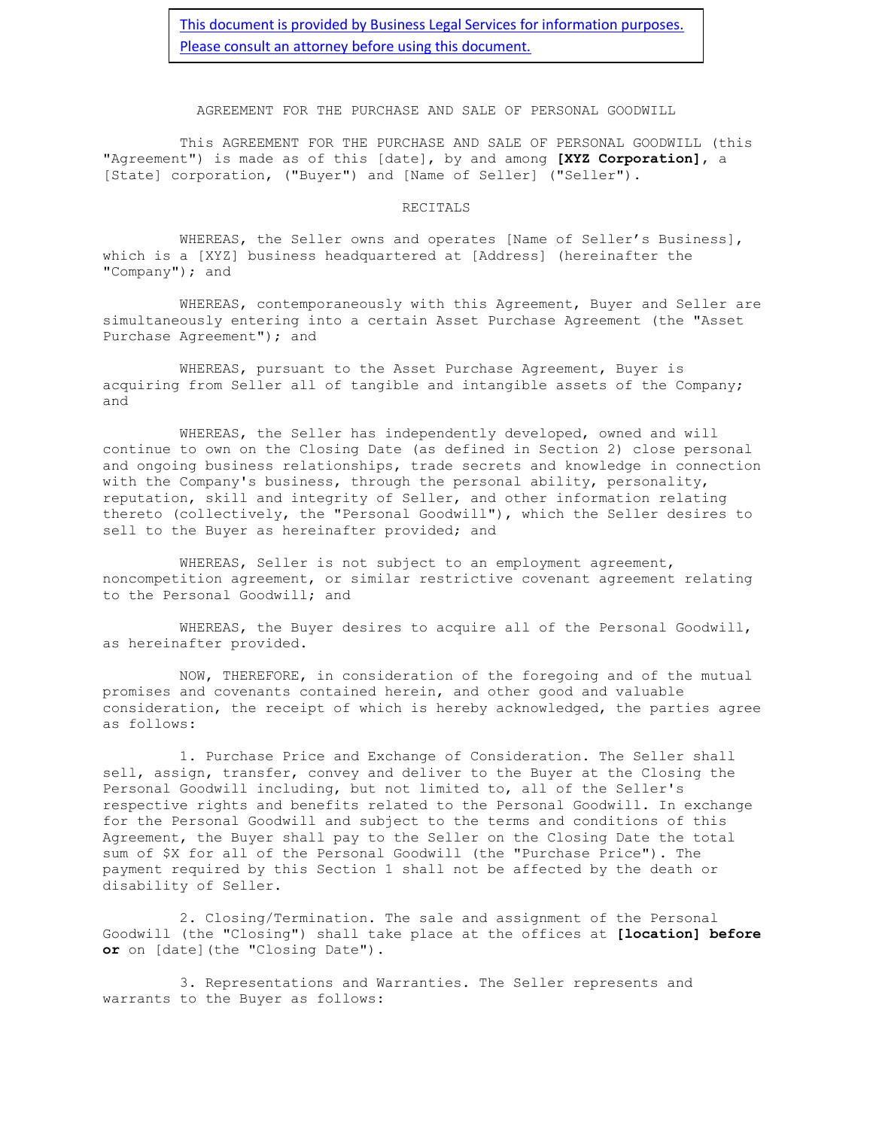[This document is provided by Business Legal Services for information purposes.](http://www.businesslegalservicesinc.com/)  [Please consult an attorney before using this document.](http://www.businesslegalservicesinc.com/)

AGREEMENT FOR THE PURCHASE AND SALE OF PERSONAL GOODWILL

 This AGREEMENT FOR THE PURCHASE AND SALE OF PERSONAL GOODWILL (this "Agreement") is made as of this [date], by and among **[XYZ Corporation]**, a [State] corporation, ("Buyer") and [Name of Seller] ("Seller").

## RECITALS

 WHEREAS, the Seller owns and operates [Name of Seller's Business], which is a [XYZ] business headquartered at [Address] (hereinafter the "Company"); and

WHEREAS, contemporaneously with this Agreement, Buyer and Seller are simultaneously entering into a certain Asset Purchase Agreement (the "Asset Purchase Agreement"); and

 WHEREAS, pursuant to the Asset Purchase Agreement, Buyer is acquiring from Seller all of tangible and intangible assets of the Company; and

 WHEREAS, the Seller has independently developed, owned and will continue to own on the Closing Date (as defined in Section 2) close personal and ongoing business relationships, trade secrets and knowledge in connection with the Company's business, through the personal ability, personality, reputation, skill and integrity of Seller, and other information relating thereto (collectively, the "Personal Goodwill"), which the Seller desires to sell to the Buyer as hereinafter provided; and

 WHEREAS, Seller is not subject to an employment agreement, noncompetition agreement, or similar restrictive covenant agreement relating to the Personal Goodwill; and

 WHEREAS, the Buyer desires to acquire all of the Personal Goodwill, as hereinafter provided.

 NOW, THEREFORE, in consideration of the foregoing and of the mutual promises and covenants contained herein, and other good and valuable consideration, the receipt of which is hereby acknowledged, the parties agree as follows:

 1. Purchase Price and Exchange of Consideration. The Seller shall sell, assign, transfer, convey and deliver to the Buyer at the Closing the Personal Goodwill including, but not limited to, all of the Seller's respective rights and benefits related to the Personal Goodwill. In exchange for the Personal Goodwill and subject to the terms and conditions of this Agreement, the Buyer shall pay to the Seller on the Closing Date the total sum of \$X for all of the Personal Goodwill (the "Purchase Price"). The payment required by this Section 1 shall not be affected by the death or disability of Seller.

 2. Closing/Termination. The sale and assignment of the Personal Goodwill (the "Closing") shall take place at the offices at **[location] before or** on [date](the "Closing Date").

 3. Representations and Warranties. The Seller represents and warrants to the Buyer as follows: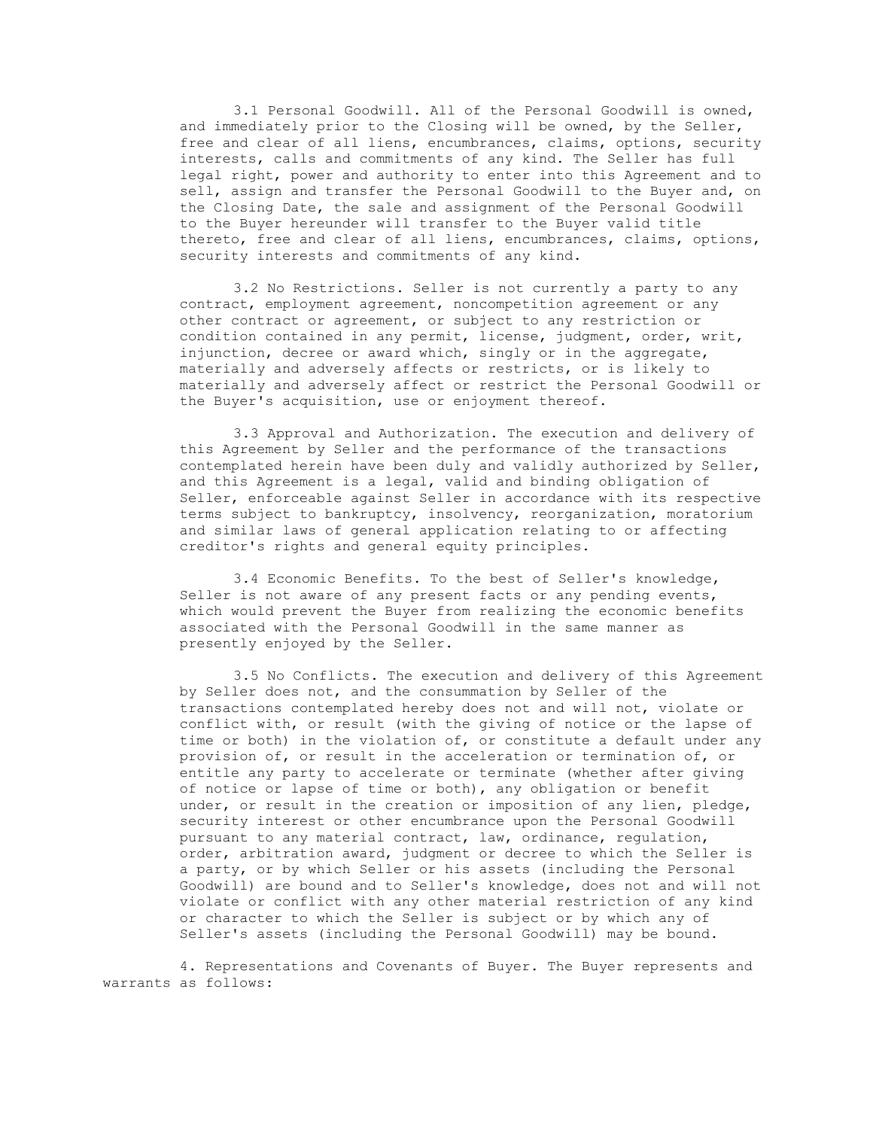3.1 Personal Goodwill. All of the Personal Goodwill is owned, and immediately prior to the Closing will be owned, by the Seller, free and clear of all liens, encumbrances, claims, options, security interests, calls and commitments of any kind. The Seller has full legal right, power and authority to enter into this Agreement and to sell, assign and transfer the Personal Goodwill to the Buyer and, on the Closing Date, the sale and assignment of the Personal Goodwill to the Buyer hereunder will transfer to the Buyer valid title thereto, free and clear of all liens, encumbrances, claims, options, security interests and commitments of any kind.

3.2 No Restrictions. Seller is not currently a party to any contract, employment agreement, noncompetition agreement or any other contract or agreement, or subject to any restriction or condition contained in any permit, license, judgment, order, writ, injunction, decree or award which, singly or in the aggregate, materially and adversely affects or restricts, or is likely to materially and adversely affect or restrict the Personal Goodwill or the Buyer's acquisition, use or enjoyment thereof.

3.3 Approval and Authorization. The execution and delivery of this Agreement by Seller and the performance of the transactions contemplated herein have been duly and validly authorized by Seller, and this Agreement is a legal, valid and binding obligation of Seller, enforceable against Seller in accordance with its respective terms subject to bankruptcy, insolvency, reorganization, moratorium and similar laws of general application relating to or affecting creditor's rights and general equity principles.

3.4 Economic Benefits. To the best of Seller's knowledge, Seller is not aware of any present facts or any pending events, which would prevent the Buyer from realizing the economic benefits associated with the Personal Goodwill in the same manner as presently enjoyed by the Seller.

3.5 No Conflicts. The execution and delivery of this Agreement by Seller does not, and the consummation by Seller of the transactions contemplated hereby does not and will not, violate or conflict with, or result (with the giving of notice or the lapse of time or both) in the violation of, or constitute a default under any provision of, or result in the acceleration or termination of, or entitle any party to accelerate or terminate (whether after giving of notice or lapse of time or both), any obligation or benefit under, or result in the creation or imposition of any lien, pledge, security interest or other encumbrance upon the Personal Goodwill pursuant to any material contract, law, ordinance, regulation, order, arbitration award, judgment or decree to which the Seller is a party, or by which Seller or his assets (including the Personal Goodwill) are bound and to Seller's knowledge, does not and will not violate or conflict with any other material restriction of any kind or character to which the Seller is subject or by which any of Seller's assets (including the Personal Goodwill) may be bound.

 4. Representations and Covenants of Buyer. The Buyer represents and warrants as follows: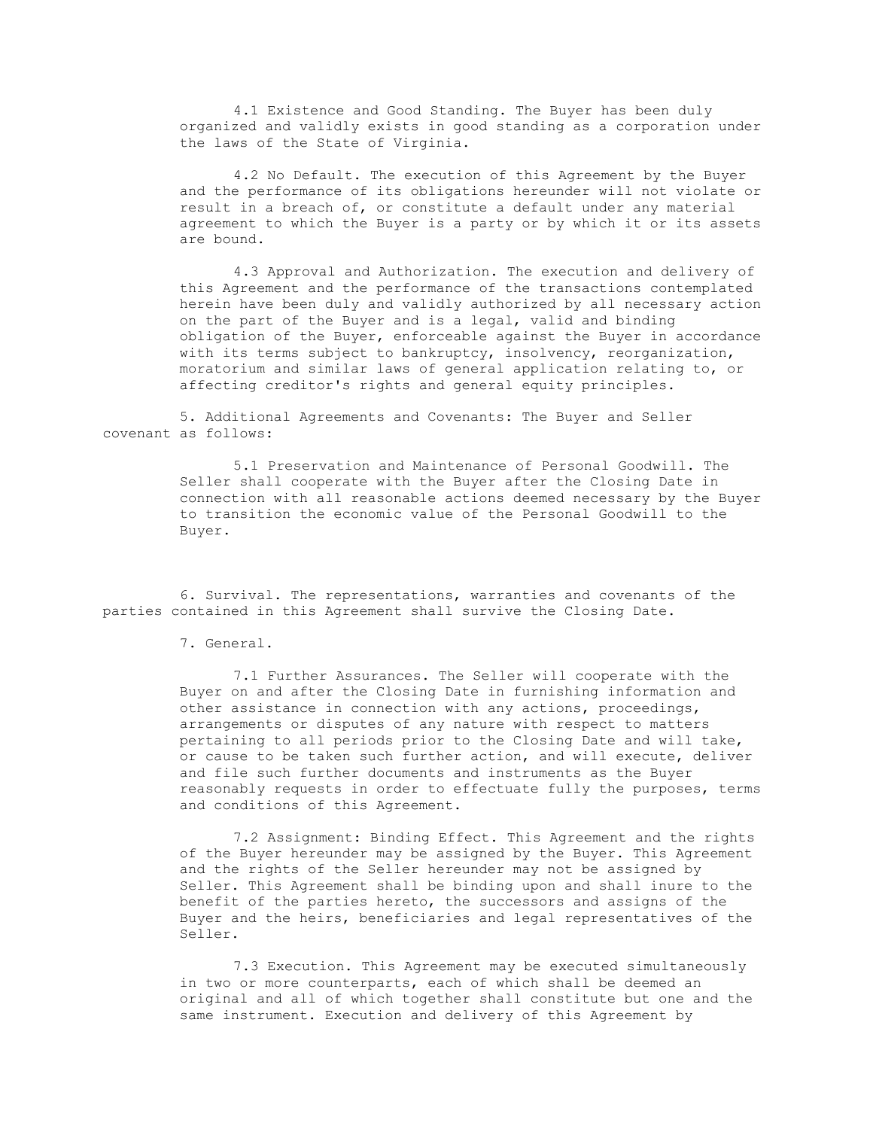4.1 Existence and Good Standing. The Buyer has been duly organized and validly exists in good standing as a corporation under the laws of the State of Virginia.

4.2 No Default. The execution of this Agreement by the Buyer and the performance of its obligations hereunder will not violate or result in a breach of, or constitute a default under any material agreement to which the Buyer is a party or by which it or its assets are bound.

4.3 Approval and Authorization. The execution and delivery of this Agreement and the performance of the transactions contemplated herein have been duly and validly authorized by all necessary action on the part of the Buyer and is a legal, valid and binding obligation of the Buyer, enforceable against the Buyer in accordance with its terms subject to bankruptcy, insolvency, reorganization, moratorium and similar laws of general application relating to, or affecting creditor's rights and general equity principles.

 5. Additional Agreements and Covenants: The Buyer and Seller covenant as follows:

> 5.1 Preservation and Maintenance of Personal Goodwill. The Seller shall cooperate with the Buyer after the Closing Date in connection with all reasonable actions deemed necessary by the Buyer to transition the economic value of the Personal Goodwill to the Buyer.

 6. Survival. The representations, warranties and covenants of the parties contained in this Agreement shall survive the Closing Date**.**

7. General.

7.1 Further Assurances. The Seller will cooperate with the Buyer on and after the Closing Date in furnishing information and other assistance in connection with any actions, proceedings, arrangements or disputes of any nature with respect to matters pertaining to all periods prior to the Closing Date and will take, or cause to be taken such further action, and will execute, deliver and file such further documents and instruments as the Buyer reasonably requests in order to effectuate fully the purposes, terms and conditions of this Agreement.

7.2 Assignment: Binding Effect. This Agreement and the rights of the Buyer hereunder may be assigned by the Buyer. This Agreement and the rights of the Seller hereunder may not be assigned by Seller. This Agreement shall be binding upon and shall inure to the benefit of the parties hereto, the successors and assigns of the Buyer and the heirs, beneficiaries and legal representatives of the Seller.

7.3 Execution. This Agreement may be executed simultaneously in two or more counterparts, each of which shall be deemed an original and all of which together shall constitute but one and the same instrument. Execution and delivery of this Agreement by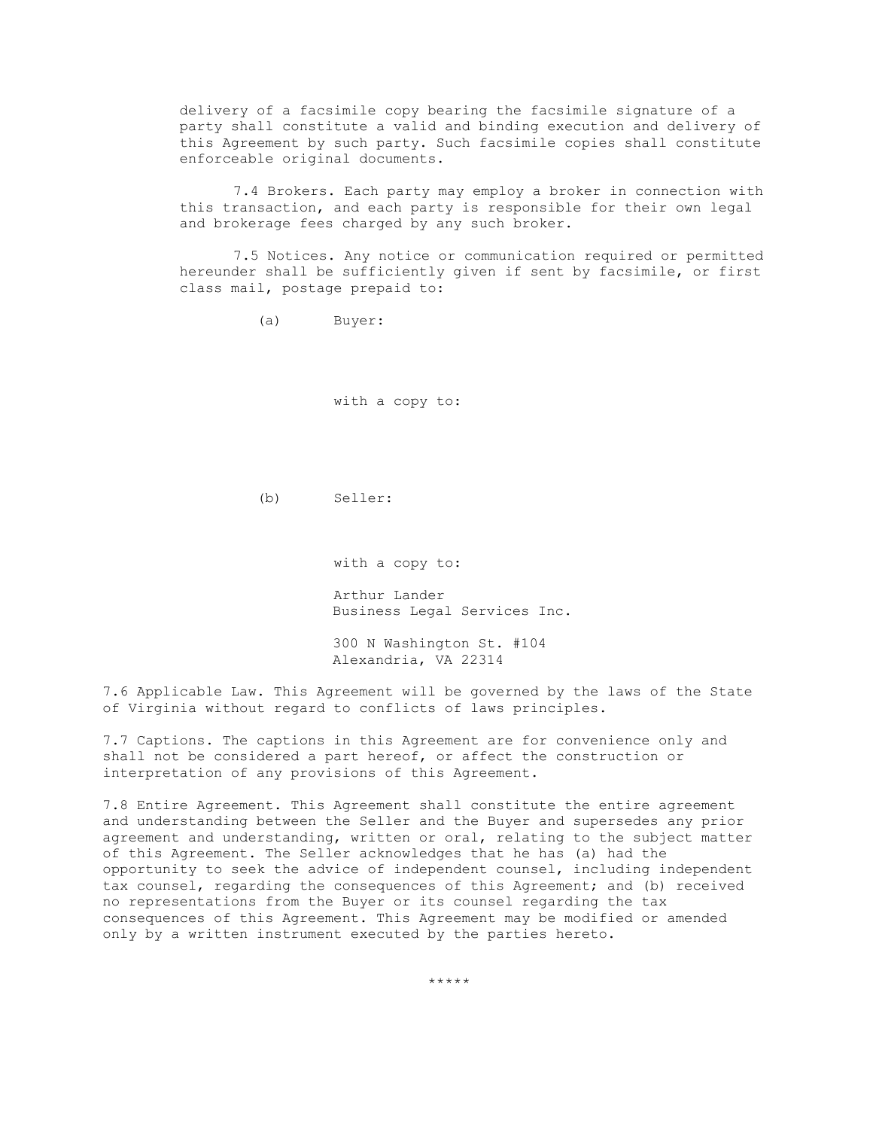delivery of a facsimile copy bearing the facsimile signature of a party shall constitute a valid and binding execution and delivery of this Agreement by such party. Such facsimile copies shall constitute enforceable original documents.

7.4 Brokers. Each party may employ a broker in connection with this transaction, and each party is responsible for their own legal and brokerage fees charged by any such broker.

7.5 Notices. Any notice or communication required or permitted hereunder shall be sufficiently given if sent by facsimile, or first class mail, postage prepaid to:

(a) Buyer:

with a copy to:

(b) Seller:

with a copy to:

 Arthur Lander Business Legal Services Inc.

 300 N Washington St. #104 Alexandria, VA 22314

7.6 Applicable Law. This Agreement will be governed by the laws of the State of Virginia without regard to conflicts of laws principles.

7.7 Captions. The captions in this Agreement are for convenience only and shall not be considered a part hereof, or affect the construction or interpretation of any provisions of this Agreement.

7.8 Entire Agreement. This Agreement shall constitute the entire agreement and understanding between the Seller and the Buyer and supersedes any prior agreement and understanding, written or oral, relating to the subject matter of this Agreement. The Seller acknowledges that he has (a) had the opportunity to seek the advice of independent counsel, including independent tax counsel, regarding the consequences of this Agreement; and (b) received no representations from the Buyer or its counsel regarding the tax consequences of this Agreement. This Agreement may be modified or amended only by a written instrument executed by the parties hereto.

\*\*\*\*\*